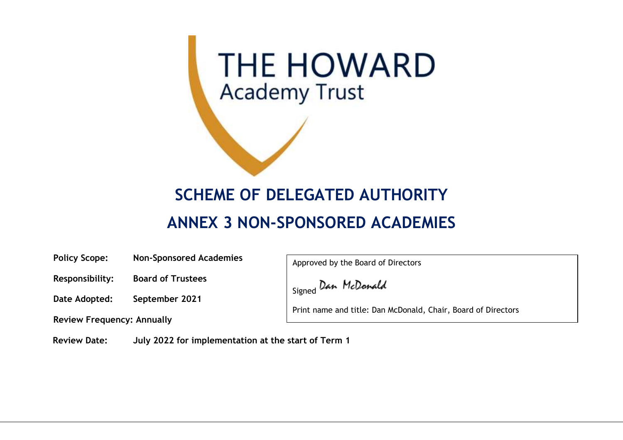

## **SCHEME OF DELEGATED AUTHORITY**

## **ANNEX 3 NON-SPONSORED ACADEMIES**

**Policy Scope: Non-Sponsored Academies**

Approved by the Board of Directors

Signed Dan McDonald

Print name and title: Dan McDonald, Chair, Board of Directors

**Review Date: July 2022 for implementation at the start of Term 1**

**Responsibility: Board of Trustees**

**Date Adopted: September 2021**

**Review Frequency: Annually**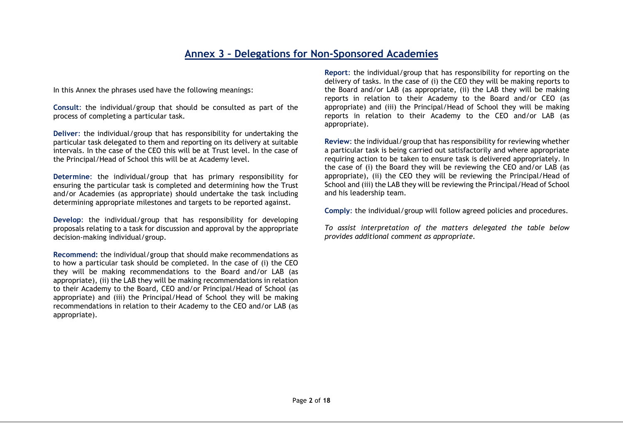## **Annex 3 – Delegations for Non-Sponsored Academies**

In this Annex the phrases used have the following meanings:

**Consult**: the individual/group that should be consulted as part of the process of completing a particular task.

**Deliver**: the individual/group that has responsibility for undertaking the particular task delegated to them and reporting on its delivery at suitable intervals. In the case of the CEO this will be at Trust level. In the case of the Principal/Head of School this will be at Academy level.

**Determine**: the individual/group that has primary responsibility for ensuring the particular task is completed and determining how the Trust and/or Academies (as appropriate) should undertake the task including determining appropriate milestones and targets to be reported against.

**Develop**: the individual/group that has responsibility for developing proposals relating to a task for discussion and approval by the appropriate decision-making individual/group.

**Recommend:** the individual/group that should make recommendations as to how a particular task should be completed. In the case of (i) the CEO they will be making recommendations to the Board and/or LAB (as appropriate), (ii) the LAB they will be making recommendations in relation to their Academy to the Board, CEO and/or Principal/Head of School (as appropriate) and (iii) the Principal/Head of School they will be making recommendations in relation to their Academy to the CEO and/or LAB (as appropriate).

**Report**: the individual/group that has responsibility for reporting on the delivery of tasks. In the case of (i) the CEO they will be making reports to the Board and/or LAB (as appropriate, (ii) the LAB they will be making reports in relation to their Academy to the Board and/or CEO (as appropriate) and (iii) the Principal/Head of School they will be making reports in relation to their Academy to the CEO and/or LAB (as appropriate).

**Review**: the individual/group that has responsibility for reviewing whether a particular task is being carried out satisfactorily and where appropriate requiring action to be taken to ensure task is delivered appropriately. In the case of (i) the Board they will be reviewing the CEO and/or LAB (as appropriate), (ii) the CEO they will be reviewing the Principal/Head of School and (iii) the LAB they will be reviewing the Principal/Head of School and his leadership team.

**Comply**: the individual/group will follow agreed policies and procedures.

*To assist interpretation of the matters delegated the table below provides additional comment as appropriate.*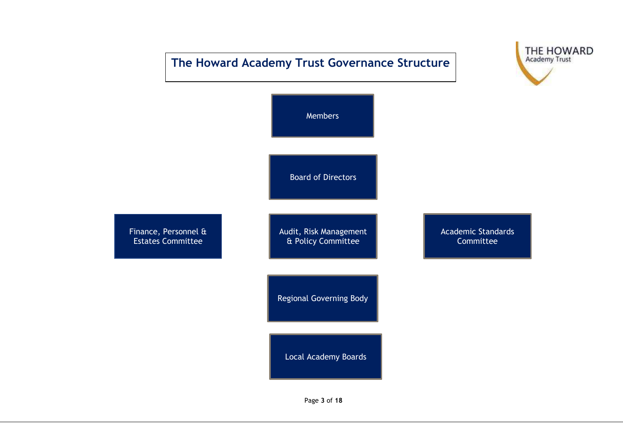## **The Howard Academy Trust Governance Structure**





Page **3** of **18**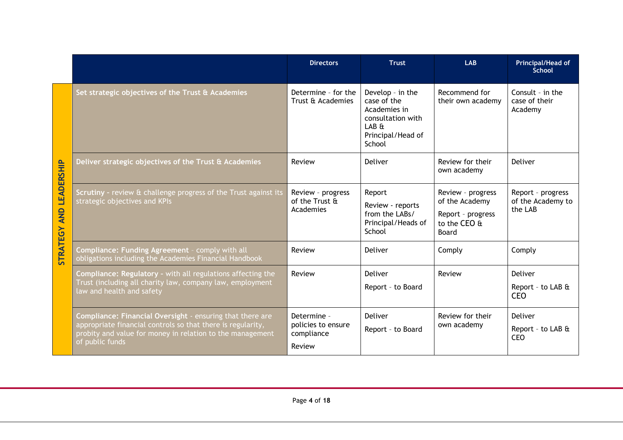|                 |                                                                                                                                                                                                          | <b>Directors</b>                                          | <b>Trust</b>                                                                                                 | <b>LAB</b>                                                                               | Principal/Head of<br><b>School</b>                |
|-----------------|----------------------------------------------------------------------------------------------------------------------------------------------------------------------------------------------------------|-----------------------------------------------------------|--------------------------------------------------------------------------------------------------------------|------------------------------------------------------------------------------------------|---------------------------------------------------|
|                 | Set strategic objectives of the Trust & Academies                                                                                                                                                        | Determine - for the<br>Trust & Academies                  | Develop - in the<br>case of the<br>Academies in<br>consultation with<br>LAB &<br>Principal/Head of<br>School | Recommend for<br>their own academy                                                       | Consult - in the<br>case of their<br>Academy      |
| LEADERSHIP      | Deliver strategic objectives of the Trust & Academies                                                                                                                                                    | Review                                                    | Deliver                                                                                                      | Review for their<br>own academy                                                          | Deliver                                           |
| <b>AND</b>      | Scrutiny - review & challenge progress of the Trust against its<br>strategic objectives and KPIs                                                                                                         | Review - progress<br>of the Trust &<br>Academies          | Report<br>Review - reports<br>from the LABs/<br>Principal/Heads of<br>School                                 | Review - progress<br>of the Academy<br>Report - progress<br>to the CEO &<br><b>Board</b> | Report - progress<br>of the Academy to<br>the LAB |
| <b>STRATEGY</b> | Compliance: Funding Agreement - comply with all<br>obligations including the Academies Financial Handbook                                                                                                | Review                                                    | Deliver                                                                                                      | Comply                                                                                   | Comply                                            |
|                 | Compliance: Regulatory - with all regulations affecting the<br>Trust (including all charity law, company law, employment<br>law and health and safety                                                    | Review                                                    | <b>Deliver</b><br>Report - to Board                                                                          | Review                                                                                   | Deliver<br>Report - to LAB &<br><b>CEO</b>        |
|                 | Compliance: Financial Oversight - ensuring that there are<br>appropriate financial controls so that there is regularity,<br>probity and value for money in relation to the management<br>of public funds | Determine -<br>policies to ensure<br>compliance<br>Review | Deliver<br>Report - to Board                                                                                 | Review for their<br>own academy                                                          | Deliver<br>Report - to LAB &<br><b>CEO</b>        |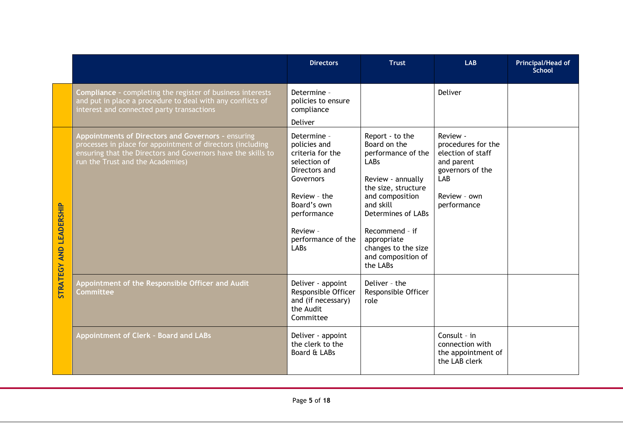|                                |                                                                                                                                                                                                                      | <b>Directors</b>                                                                                                                                                                      | <b>Trust</b>                                                                                                                                                                                                                                                     | <b>LAB</b>                                                                                                                  | Principal/Head of<br><b>School</b> |
|--------------------------------|----------------------------------------------------------------------------------------------------------------------------------------------------------------------------------------------------------------------|---------------------------------------------------------------------------------------------------------------------------------------------------------------------------------------|------------------------------------------------------------------------------------------------------------------------------------------------------------------------------------------------------------------------------------------------------------------|-----------------------------------------------------------------------------------------------------------------------------|------------------------------------|
|                                | <b>Compliance - completing the register of business interests</b><br>and put in place a procedure to deal with any conflicts of<br>interest and connected party transactions                                         | Determine -<br>policies to ensure<br>compliance<br>Deliver                                                                                                                            |                                                                                                                                                                                                                                                                  | <b>Deliver</b>                                                                                                              |                                    |
| <b>STRATEGY AND LEADERSHIP</b> | Appointments of Directors and Governors - ensuring<br>processes in place for appointment of directors (including<br>ensuring that the Directors and Governors have the skills to<br>run the Trust and the Academies) | Determine -<br>policies and<br>criteria for the<br>selection of<br>Directors and<br>Governors<br>Review - the<br>Board's own<br>performance<br>Review -<br>performance of the<br>LABs | Report - to the<br>Board on the<br>performance of the<br><b>LABs</b><br>Review - annually<br>the size, structure<br>and composition<br>and skill<br>Determines of LABs<br>Recommend - if<br>appropriate<br>changes to the size<br>and composition of<br>the LABs | Review -<br>procedures for the<br>election of staff<br>and parent<br>governors of the<br>LAB<br>Review - own<br>performance |                                    |
|                                | Appointment of the Responsible Officer and Audit<br>Committee                                                                                                                                                        | Deliver - appoint<br>Responsible Officer<br>and (if necessary)<br>the Audit<br>Committee                                                                                              | Deliver - the<br>Responsible Officer<br>role                                                                                                                                                                                                                     |                                                                                                                             |                                    |
|                                | Appointment of Clerk - Board and LABs                                                                                                                                                                                | Deliver - appoint<br>the clerk to the<br>Board & LABs                                                                                                                                 |                                                                                                                                                                                                                                                                  | Consult - in<br>connection with<br>the appointment of<br>the LAB clerk                                                      |                                    |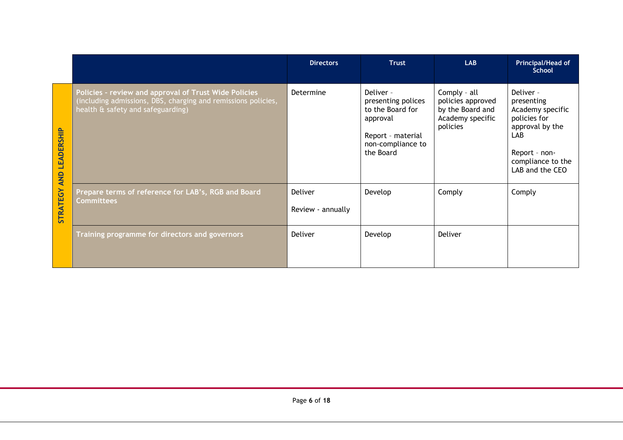|                          |                                                                                                                                                             | <b>Directors</b>                    | Trust                                                                                                                  | <b>LAB</b>                                                                            | <b>Principal/Head of</b><br>School                                                                                                             |
|--------------------------|-------------------------------------------------------------------------------------------------------------------------------------------------------------|-------------------------------------|------------------------------------------------------------------------------------------------------------------------|---------------------------------------------------------------------------------------|------------------------------------------------------------------------------------------------------------------------------------------------|
| LEADERSHIP<br><b>AND</b> | Policies - review and approval of Trust Wide Policies<br>(including admissions, DBS, charging and remissions policies,<br>health & safety and safeguarding) | Determine                           | Deliver -<br>presenting polices<br>to the Board for<br>approval<br>Report - material<br>non-compliance to<br>the Board | Comply - all<br>policies approved<br>by the Board and<br>Academy specific<br>policies | Deliver -<br>presenting<br>Academy specific<br>policies for<br>approval by the<br>LAB<br>Report - non-<br>compliance to the<br>LAB and the CEO |
| <b>STRATEGY</b>          | Prepare terms of reference for LAB's, RGB and Board<br><b>Committees</b>                                                                                    | <b>Deliver</b><br>Review - annually | Develop                                                                                                                | Comply                                                                                | Comply                                                                                                                                         |
|                          | Training programme for directors and governors                                                                                                              | Deliver                             | Develop                                                                                                                | Deliver                                                                               |                                                                                                                                                |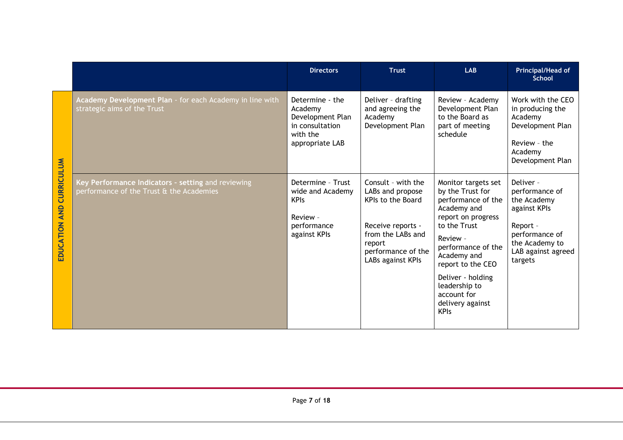|                                           |                                                                                                | <b>Directors</b>                                                                                 | <b>Trust</b>                                                                                                                                               | <b>LAB</b>                                                                                                                                                                                                                                                                       | Principal/Head of<br><b>School</b>                                                                                                          |
|-------------------------------------------|------------------------------------------------------------------------------------------------|--------------------------------------------------------------------------------------------------|------------------------------------------------------------------------------------------------------------------------------------------------------------|----------------------------------------------------------------------------------------------------------------------------------------------------------------------------------------------------------------------------------------------------------------------------------|---------------------------------------------------------------------------------------------------------------------------------------------|
|                                           | Academy Development Plan - for each Academy in line with<br>strategic aims of the Trust        | Determine - the<br>Academy<br>Development Plan<br>in consultation<br>with the<br>appropriate LAB | Deliver - drafting<br>and agreeing the<br>Academy<br>Development Plan                                                                                      | Review - Academy<br>Development Plan<br>to the Board as<br>part of meeting<br>schedule                                                                                                                                                                                           | Work with the CEO<br>in producing the<br>Academy<br>Development Plan<br>Review - the<br>Academy<br>Development Plan                         |
| <b>CURRICULUM</b><br><b>EDUCATION AND</b> | Key Performance Indicators - setting and reviewing<br>performance of the Trust & the Academies | Determine - Trust<br>wide and Academy<br><b>KPIs</b><br>Review -<br>performance<br>against KPIs  | Consult - with the<br>LABs and propose<br>KPIs to the Board<br>Receive reports -<br>from the LABs and<br>report<br>performance of the<br>LABs against KPIs | Monitor targets set<br>by the Trust for<br>performance of the<br>Academy and<br>report on progress<br>to the Trust<br>Review -<br>performance of the<br>Academy and<br>report to the CEO<br>Deliver - holding<br>leadership to<br>account for<br>delivery against<br><b>KPIs</b> | Deliver -<br>performance of<br>the Academy<br>against KPIs<br>Report -<br>performance of<br>the Academy to<br>LAB against agreed<br>targets |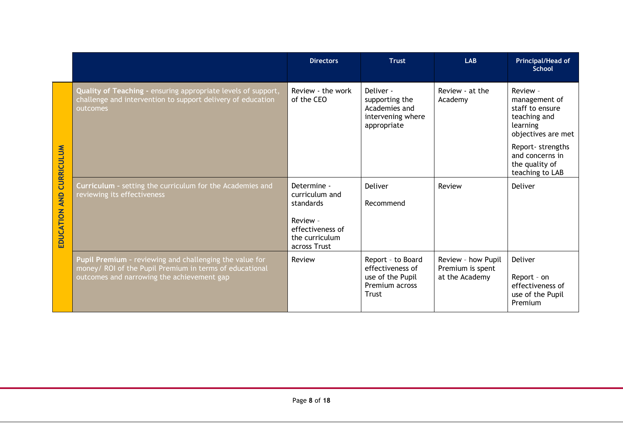|                   |                                                                                                                                                                  | <b>Directors</b>                                               | <b>Trust</b>                                                                         | <b>LAB</b>                                               | Principal/Head of<br><b>School</b>                                                             |
|-------------------|------------------------------------------------------------------------------------------------------------------------------------------------------------------|----------------------------------------------------------------|--------------------------------------------------------------------------------------|----------------------------------------------------------|------------------------------------------------------------------------------------------------|
|                   | Quality of Teaching - ensuring appropriate levels of support,<br>challenge and intervention to support delivery of education<br>outcomes                         | Review - the work<br>of the CEO                                | Deliver -<br>supporting the<br>Academies and<br>intervening where<br>appropriate     | Review - at the<br>Academy                               | Review -<br>management of<br>staff to ensure<br>teaching and<br>learning<br>objectives are met |
| <b>CURRICULUM</b> |                                                                                                                                                                  |                                                                |                                                                                      |                                                          | Report- strengths<br>and concerns in<br>the quality of<br>teaching to LAB                      |
| <b>AND</b>        | Curriculum - setting the curriculum for the Academies and<br>reviewing its effectiveness                                                                         | Determine -<br>curriculum and<br>standards                     | Deliver<br>Recommend                                                                 | Review                                                   | Deliver                                                                                        |
| <b>EDUCATION</b>  |                                                                                                                                                                  | Review -<br>effectiveness of<br>the curriculum<br>across Trust |                                                                                      |                                                          |                                                                                                |
|                   | Pupil Premium - reviewing and challenging the value for<br>money/ ROI of the Pupil Premium in terms of educational<br>outcomes and narrowing the achievement gap | Review                                                         | Report - to Board<br>effectiveness of<br>use of the Pupil<br>Premium across<br>Trust | Review - how Pupil<br>Premium is spent<br>at the Academy | Deliver<br>Report - on<br>effectiveness of<br>use of the Pupil<br>Premium                      |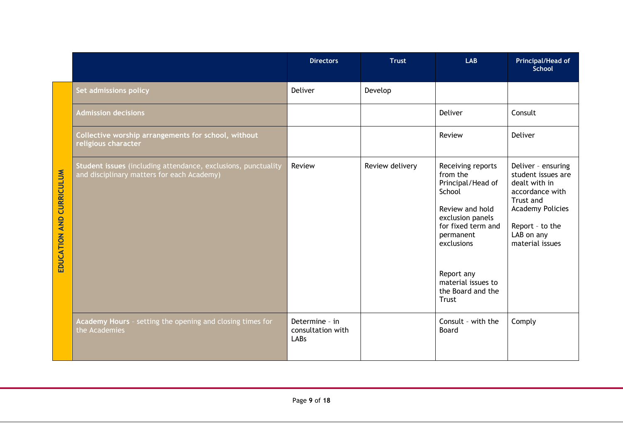|                          |                                                                                                             | <b>Directors</b>                            | <b>Trust</b>    | <b>LAB</b>                                                                                                                                                                                                             | <b>Principal/Head of</b><br>School                                                                                                                                       |
|--------------------------|-------------------------------------------------------------------------------------------------------------|---------------------------------------------|-----------------|------------------------------------------------------------------------------------------------------------------------------------------------------------------------------------------------------------------------|--------------------------------------------------------------------------------------------------------------------------------------------------------------------------|
|                          | Set admissions policy                                                                                       | Deliver                                     | Develop         |                                                                                                                                                                                                                        |                                                                                                                                                                          |
|                          | <b>Admission decisions</b>                                                                                  |                                             |                 | Deliver                                                                                                                                                                                                                | Consult                                                                                                                                                                  |
|                          | Collective worship arrangements for school, without<br>religious character                                  |                                             |                 | Review                                                                                                                                                                                                                 | Deliver                                                                                                                                                                  |
| EDUCATION AND CURRICULUM | Student issues (including attendance, exclusions, punctuality<br>and disciplinary matters for each Academy) | Review                                      | Review delivery | Receiving reports<br>from the<br>Principal/Head of<br>School<br>Review and hold<br>exclusion panels<br>for fixed term and<br>permanent<br>exclusions<br>Report any<br>material issues to<br>the Board and the<br>Trust | Deliver - ensuring<br>student issues are<br>dealt with in<br>accordance with<br>Trust and<br><b>Academy Policies</b><br>Report - to the<br>LAB on any<br>material issues |
|                          | Academy Hours - setting the opening and closing times for<br>the Academies                                  | Determine - in<br>consultation with<br>LABs |                 | Consult - with the<br>Board                                                                                                                                                                                            | Comply                                                                                                                                                                   |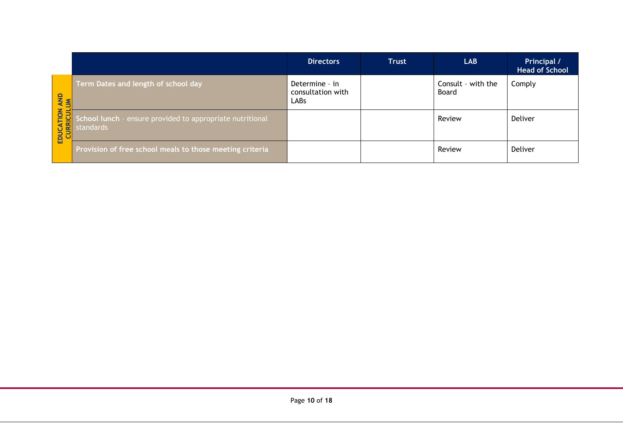|                                      |                                                                        | <b>Directors</b>                            | <b>Trust</b> | LAB                         | Principal /<br><b>Head of School</b> |
|--------------------------------------|------------------------------------------------------------------------|---------------------------------------------|--------------|-----------------------------|--------------------------------------|
| <b>AND</b>                           | Term Dates and length of school day                                    | Determine - in<br>consultation with<br>LABs |              | Consult - with the<br>Board | Comply                               |
| DUCATION<br>CURRICULU<br><b>EDUC</b> | School lunch - ensure provided to appropriate nutritional<br>standards |                                             |              | Review                      | Deliver                              |
|                                      | Provision of free school meals to those meeting criteria               |                                             |              | Review                      | Deliver                              |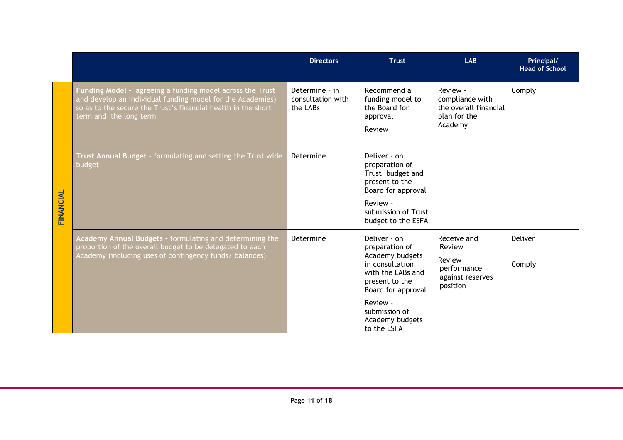|           |                                                                                                                                                                                                                    | <b>Directors</b>                                | <b>Trust</b>                                                                                                                                        | <b>LAB</b>                                                                      | Principal/<br><b>Head of School</b> |
|-----------|--------------------------------------------------------------------------------------------------------------------------------------------------------------------------------------------------------------------|-------------------------------------------------|-----------------------------------------------------------------------------------------------------------------------------------------------------|---------------------------------------------------------------------------------|-------------------------------------|
|           | Funding Model - agreeing a funding model across the Trust<br>and develop an individual funding model for the Academies)<br>so as to the secure the Trust's financial health in the short<br>term and the long term | Determine - in<br>consultation with<br>the LABs | Recommend a<br>funding model to<br>the Board for<br>approval<br>Review                                                                              | Review -<br>compliance with<br>the overall financial<br>plan for the<br>Academy | Comply                              |
| FINANCIAL | Trust Annual Budget - formulating and setting the Trust wide<br>budget                                                                                                                                             | Determine                                       | Deliver - on<br>preparation of<br>Trust budget and<br>present to the<br>Board for approval<br>Review -<br>submission of Trust<br>budget to the ESFA |                                                                                 |                                     |
|           | Academy Annual Budgets - formulating and determining the<br>proportion of the overall budget to be delegated to each<br>Academy (including uses of contingency funds/ balances)                                    | Determine                                       | Deliver - on<br>preparation of<br>Academy budgets<br>in consultation<br>with the LABs and<br>present to the<br>Board for approval                   | Receive and<br>Review<br>Review<br>performance<br>against reserves<br>position  | Deliver<br>Comply                   |
|           |                                                                                                                                                                                                                    |                                                 | Review -<br>submission of<br>Academy budgets<br>to the ESFA                                                                                         |                                                                                 |                                     |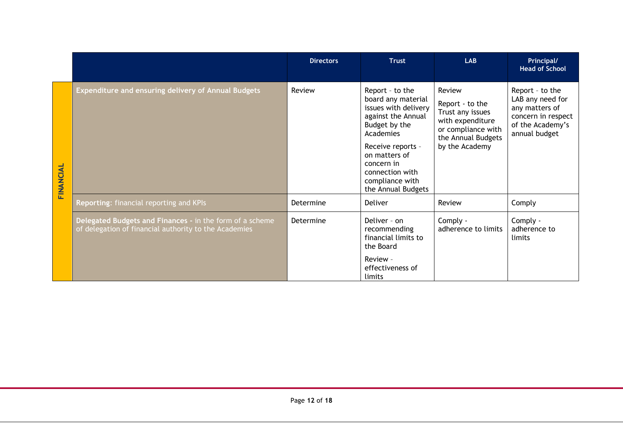|           |                                                                                                                   | <b>Directors</b> | <b>Trust</b>                                                                                                                                                                                                                      | <b>LAB</b>                                                                                                                      | Principal/<br><b>Head of School</b>                                                                              |
|-----------|-------------------------------------------------------------------------------------------------------------------|------------------|-----------------------------------------------------------------------------------------------------------------------------------------------------------------------------------------------------------------------------------|---------------------------------------------------------------------------------------------------------------------------------|------------------------------------------------------------------------------------------------------------------|
| FINANCIAL | Expenditure and ensuring delivery of Annual Budgets                                                               | Review           | Report - to the<br>board any material<br>issues with delivery<br>against the Annual<br>Budget by the<br>Academies<br>Receive reports -<br>on matters of<br>concern in<br>connection with<br>compliance with<br>the Annual Budgets | Review<br>Report - to the<br>Trust any issues<br>with expenditure<br>or compliance with<br>the Annual Budgets<br>by the Academy | Report - to the<br>LAB any need for<br>any matters of<br>concern in respect<br>of the Academy's<br>annual budget |
|           | Reporting: financial reporting and KPIs                                                                           | Determine        | Deliver                                                                                                                                                                                                                           | Review                                                                                                                          | Comply                                                                                                           |
|           | Delegated Budgets and Finances - in the form of a scheme<br>of delegation of financial authority to the Academies | Determine        | Deliver - on<br>recommending<br>financial limits to<br>the Board                                                                                                                                                                  | Comply -<br>adherence to limits                                                                                                 | Comply -<br>adherence to<br>limits                                                                               |
|           |                                                                                                                   |                  | Review -<br>effectiveness of<br>limits                                                                                                                                                                                            |                                                                                                                                 |                                                                                                                  |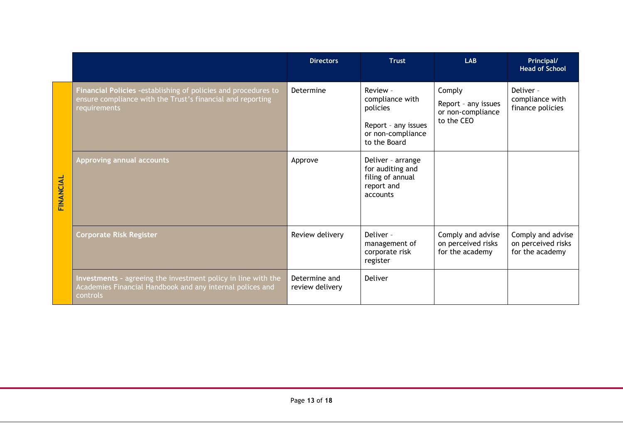|           |                                                                                                                                               | <b>Directors</b>                 | <b>Trust</b>                                                                                        | <b>LAB</b>                                                       | Principal/<br><b>Head of School</b>                        |
|-----------|-----------------------------------------------------------------------------------------------------------------------------------------------|----------------------------------|-----------------------------------------------------------------------------------------------------|------------------------------------------------------------------|------------------------------------------------------------|
|           | Financial Policies - establishing of policies and procedures to<br>ensure compliance with the Trust's financial and reporting<br>requirements | Determine                        | Review -<br>compliance with<br>policies<br>Report - any issues<br>or non-compliance<br>to the Board | Comply<br>Report - any issues<br>or non-compliance<br>to the CEO | Deliver -<br>compliance with<br>finance policies           |
| FINANCIAL | Approving annual accounts                                                                                                                     | Approve                          | Deliver - arrange<br>for auditing and<br>filing of annual<br>report and<br>accounts                 |                                                                  |                                                            |
|           | <b>Corporate Risk Register</b>                                                                                                                | Review delivery                  | Deliver -<br>management of<br>corporate risk<br>register                                            | Comply and advise<br>on perceived risks<br>for the academy       | Comply and advise<br>on perceived risks<br>for the academy |
|           | Investments - agreeing the investment policy in line with the<br>Academies Financial Handbook and any internal polices and<br>controls        | Determine and<br>review delivery | Deliver                                                                                             |                                                                  |                                                            |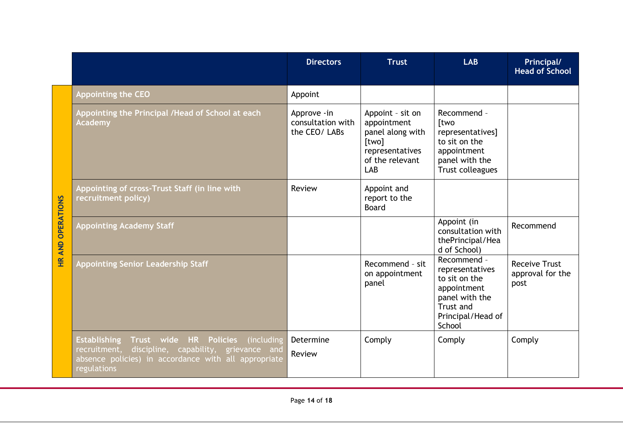|                          |                                                                                                                                                                                                                 | <b>Directors</b>                                   | <b>Trust</b>                                                                                              | <b>LAB</b>                                                                                                                          | Principal/<br><b>Head of School</b>              |
|--------------------------|-----------------------------------------------------------------------------------------------------------------------------------------------------------------------------------------------------------------|----------------------------------------------------|-----------------------------------------------------------------------------------------------------------|-------------------------------------------------------------------------------------------------------------------------------------|--------------------------------------------------|
|                          | <b>Appointing the CEO</b>                                                                                                                                                                                       | Appoint                                            |                                                                                                           |                                                                                                                                     |                                                  |
|                          | Appointing the Principal / Head of School at each<br>Academy                                                                                                                                                    | Approve - in<br>consultation with<br>the CEO/ LABs | Appoint - sit on<br>appointment<br>panel along with<br>[two]<br>representatives<br>of the relevant<br>LAB | Recommend -<br>[two<br>representatives]<br>to sit on the<br>appointment<br>panel with the<br>Trust colleagues                       |                                                  |
|                          | Appointing of cross-Trust Staff (in line with<br>recruitment policy)                                                                                                                                            | Review                                             | Appoint and<br>report to the<br><b>Board</b>                                                              |                                                                                                                                     |                                                  |
| <b>HR AND OPERATIONS</b> | <b>Appointing Academy Staff</b>                                                                                                                                                                                 |                                                    |                                                                                                           | Appoint (in<br>consultation with<br>thePrincipal/Hea<br>d of School)                                                                | Recommend                                        |
|                          | <b>Appointing Senior Leadership Staff</b>                                                                                                                                                                       |                                                    | Recommend - sit<br>on appointment<br>panel                                                                | Recommend -<br>representatives<br>to sit on the<br>appointment<br>panel with the<br><b>Trust and</b><br>Principal/Head of<br>School | <b>Receive Trust</b><br>approval for the<br>post |
|                          | <b>Establishing</b><br>wide HR<br><b>Policies</b><br>(including<br><b>Trust</b><br>discipline, capability, grievance and<br>recruitment,<br>absence policies) in accordance with all appropriate<br>regulations | Determine<br><b>Review</b>                         | Comply                                                                                                    | Comply                                                                                                                              | Comply                                           |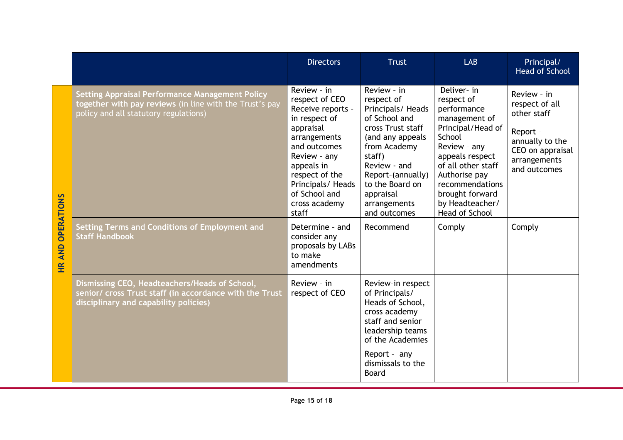|               |                                                                                                                                                                                                              | <b>Directors</b>                                                                                                                                                                                                                                    | <b>Trust</b>                                                                                                                                                                                                                                         | <b>LAB</b>                                                                                                                                                                                                                                              | Principal/<br><b>Head of School</b>                                                                                                       |
|---------------|--------------------------------------------------------------------------------------------------------------------------------------------------------------------------------------------------------------|-----------------------------------------------------------------------------------------------------------------------------------------------------------------------------------------------------------------------------------------------------|------------------------------------------------------------------------------------------------------------------------------------------------------------------------------------------------------------------------------------------------------|---------------------------------------------------------------------------------------------------------------------------------------------------------------------------------------------------------------------------------------------------------|-------------------------------------------------------------------------------------------------------------------------------------------|
| OPERATIONS    | <b>Setting Appraisal Performance Management Policy</b><br>together with pay reviews (in line with the Trust's pay<br>policy and all statutory regulations)<br>Setting Terms and Conditions of Employment and | Review - in<br>respect of CEO<br>Receive reports -<br>in respect of<br>appraisal<br>arrangements<br>and outcomes<br>Review - any<br>appeals in<br>respect of the<br>Principals/ Heads<br>of School and<br>cross academy<br>staff<br>Determine - and | Review - in<br>respect of<br>Principals/ Heads<br>of School and<br>cross Trust staff<br>(and any appeals<br>from Academy<br>staff)<br>Review - and<br>Report-(annually)<br>to the Board on<br>appraisal<br>arrangements<br>and outcomes<br>Recommend | Deliver- in<br>respect of<br>performance<br>management of<br>Principal/Head of<br>School<br>Review - any<br>appeals respect<br>of all other staff<br>Authorise pay<br>recommendations<br>brought forward<br>by Headteacher/<br>Head of School<br>Comply | Review - in<br>respect of all<br>other staff<br>Report -<br>annually to the<br>CEO on appraisal<br>arrangements<br>and outcomes<br>Comply |
| <b>HR AND</b> | <b>Staff Handbook</b>                                                                                                                                                                                        | consider any<br>proposals by LABs<br>to make<br>amendments                                                                                                                                                                                          |                                                                                                                                                                                                                                                      |                                                                                                                                                                                                                                                         |                                                                                                                                           |
|               | Dismissing CEO, Headteachers/Heads of School,<br>senior/ cross Trust staff (in accordance with the Trust<br>disciplinary and capability policies)                                                            | Review - in<br>respect of CEO                                                                                                                                                                                                                       | Review-in respect<br>of Principals/<br>Heads of School,<br>cross academy<br>staff and senior<br>leadership teams<br>of the Academies<br>Report - any                                                                                                 |                                                                                                                                                                                                                                                         |                                                                                                                                           |
|               |                                                                                                                                                                                                              |                                                                                                                                                                                                                                                     | dismissals to the<br><b>Board</b>                                                                                                                                                                                                                    |                                                                                                                                                                                                                                                         |                                                                                                                                           |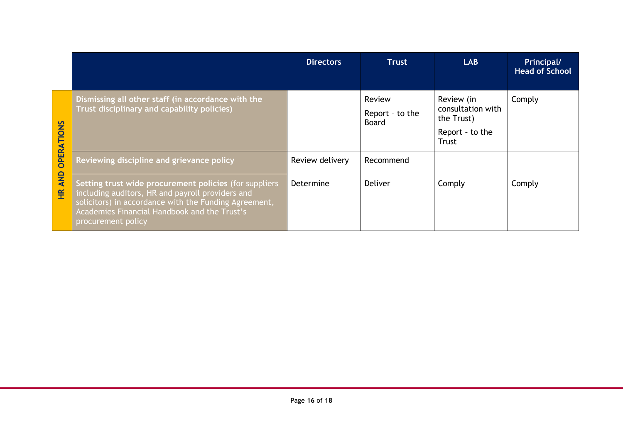|                                                             |                                                                                                                                                                                                                                           | <b>Directors</b> | <b>Trust</b>                       | <b>LAB</b>                                                                | Principal/<br><b>Head of School</b> |
|-------------------------------------------------------------|-------------------------------------------------------------------------------------------------------------------------------------------------------------------------------------------------------------------------------------------|------------------|------------------------------------|---------------------------------------------------------------------------|-------------------------------------|
| <b>OPERATIONS</b><br><b>AND</b><br>$\widetilde{\mathbf{H}}$ | Dismissing all other staff (in accordance with the<br>Trust disciplinary and capability policies)                                                                                                                                         |                  | Review<br>Report - to the<br>Board | Review (in<br>consultation with<br>the Trust)<br>Report - to the<br>Trust | Comply                              |
|                                                             | Reviewing discipline and grievance policy                                                                                                                                                                                                 | Review delivery  | Recommend                          |                                                                           |                                     |
|                                                             | Setting trust wide procurement policies (for suppliers<br>including auditors, HR and payroll providers and<br>solicitors) in accordance with the Funding Agreement,<br>Academies Financial Handbook and the Trust's<br>procurement policy | Determine        | Deliver                            | Comply                                                                    | Comply                              |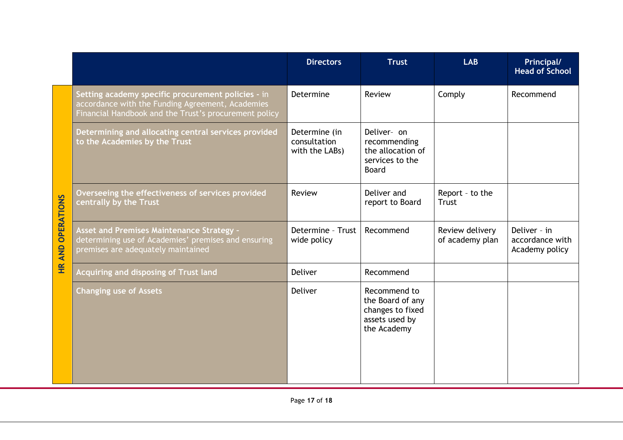|                                    |                                                                                                                                                                 | <b>Directors</b>                                | <b>Trust</b>                                                                          | <b>LAB</b>                         | Principal/<br><b>Head of School</b>               |
|------------------------------------|-----------------------------------------------------------------------------------------------------------------------------------------------------------------|-------------------------------------------------|---------------------------------------------------------------------------------------|------------------------------------|---------------------------------------------------|
| <b>OPERATIONS</b><br><b>HR AND</b> | Setting academy specific procurement policies - in<br>accordance with the Funding Agreement, Academies<br>Financial Handbook and the Trust's procurement policy | Determine                                       | Review                                                                                | Comply                             | Recommend                                         |
|                                    | Determining and allocating central services provided<br>to the Academies by the Trust                                                                           | Determine (in<br>consultation<br>with the LABs) | Deliver- on<br>recommending<br>the allocation of<br>services to the<br><b>Board</b>   |                                    |                                                   |
|                                    | Overseeing the effectiveness of services provided<br>centrally by the Trust                                                                                     | Review                                          | Deliver and<br>report to Board                                                        | Report - to the<br>Trust           |                                                   |
|                                    | Asset and Premises Maintenance Strategy -<br>determining use of Academies' premises and ensuring<br>premises are adequately maintained                          | Determine - Trust<br>wide policy                | Recommend                                                                             | Review delivery<br>of academy plan | Deliver - in<br>accordance with<br>Academy policy |
|                                    | Acquiring and disposing of Trust land                                                                                                                           | <b>Deliver</b>                                  | Recommend                                                                             |                                    |                                                   |
|                                    | <b>Changing use of Assets</b>                                                                                                                                   | <b>Deliver</b>                                  | Recommend to<br>the Board of any<br>changes to fixed<br>assets used by<br>the Academy |                                    |                                                   |